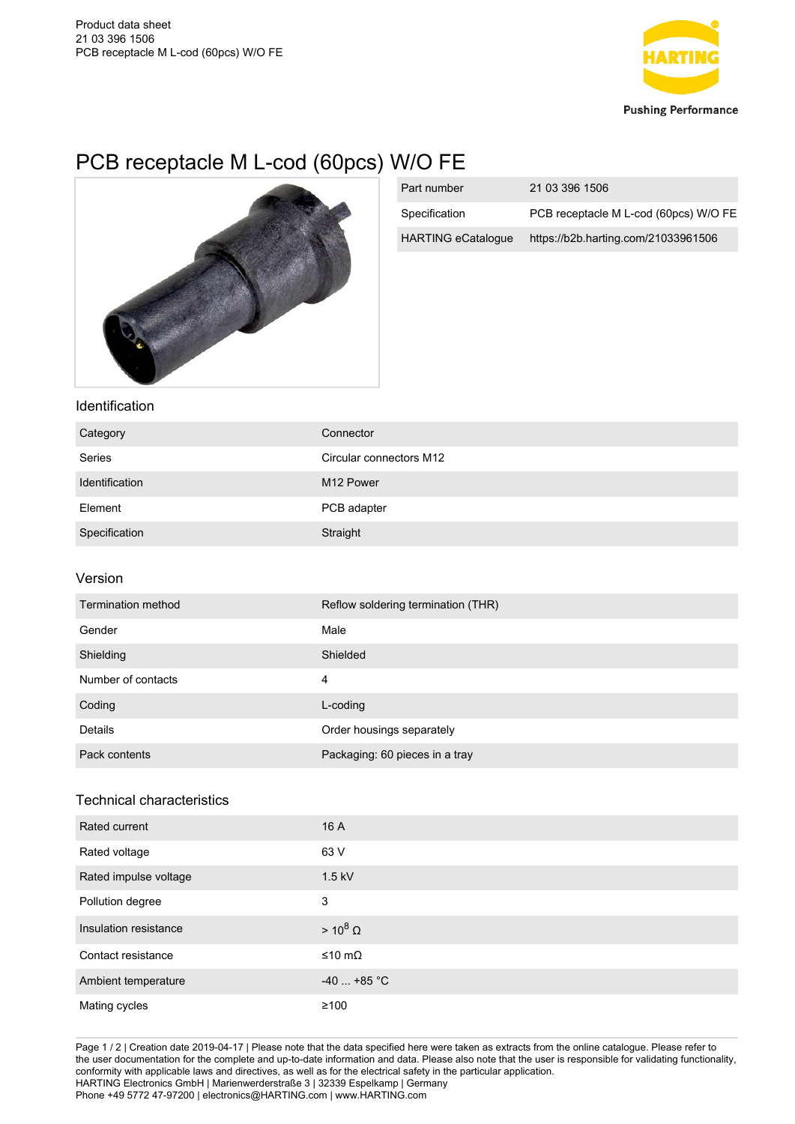

## PCB receptacle M L-cod (60pcs) W/O FE



| Part number               | 21 03 396 1506                        |
|---------------------------|---------------------------------------|
| Specification             | PCB receptacle M L-cod (60pcs) W/O FE |
| <b>HARTING eCatalogue</b> | https://b2b.harting.com/21033961506   |

## Identification

| Category       | Connector               |
|----------------|-------------------------|
| Series         | Circular connectors M12 |
| Identification | M <sub>12</sub> Power   |
| Element        | PCB adapter             |
| Specification  | Straight                |

## Version

| Termination method | Reflow soldering termination (THR) |
|--------------------|------------------------------------|
| Gender             | Male                               |
| Shielding          | Shielded                           |
| Number of contacts | 4                                  |
| Coding             | L-coding                           |
| Details            | Order housings separately          |
| Pack contents      | Packaging: 60 pieces in a tray     |

## Technical characteristics

| Rated current         | 16 A            |
|-----------------------|-----------------|
| Rated voltage         | 63 V            |
| Rated impulse voltage | $1.5$ kV        |
| Pollution degree      | 3               |
| Insulation resistance | $> 10^8 \Omega$ |
| Contact resistance    | ≤10 mΩ          |
| Ambient temperature   | $-40$ +85 °C    |
| Mating cycles         | $\geq 100$      |

Page 1 / 2 | Creation date 2019-04-17 | Please note that the data specified here were taken as extracts from the online catalogue. Please refer to the user documentation for the complete and up-to-date information and data. Please also note that the user is responsible for validating functionality, conformity with applicable laws and directives, as well as for the electrical safety in the particular application. HARTING Electronics GmbH | Marienwerderstraße 3 | 32339 Espelkamp | Germany Phone +49 5772 47-97200 | electronics@HARTING.com | www.HARTING.com